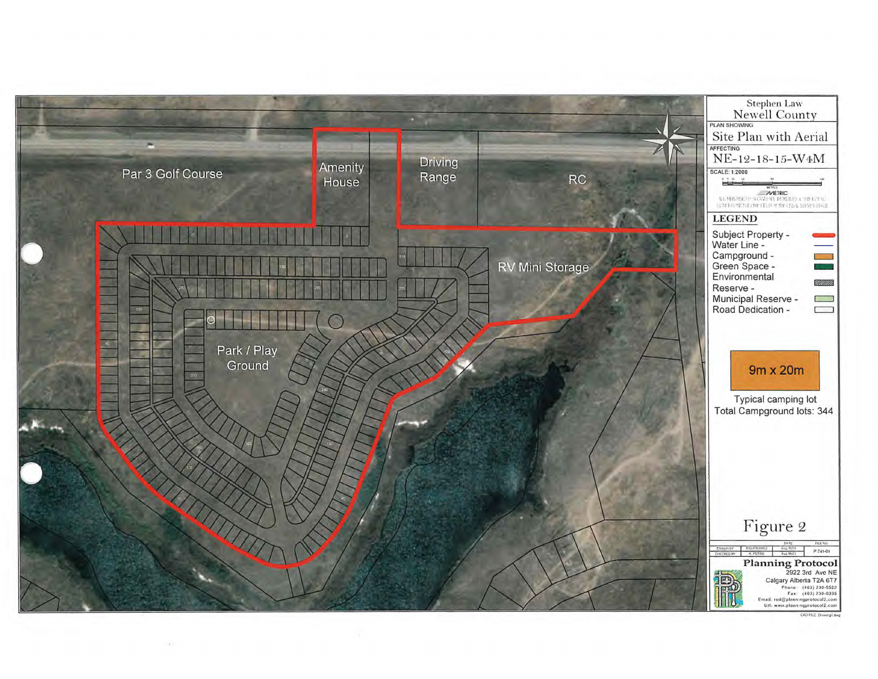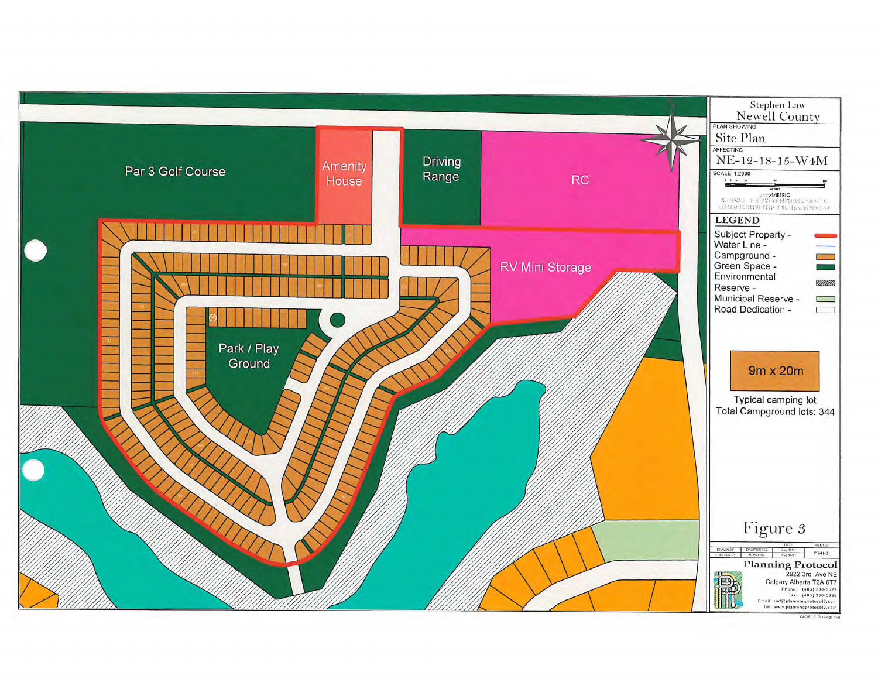